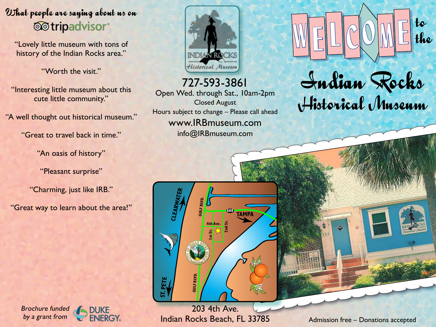## What people are saying about us on **@**tripadvisor®

"Lovely little museum with tons of history of the Indian Rocks area."

"Worth the visit."

"Interesting little museum about this cute little community."

"A well thought out historical museum."

"Great to travel back in time."

"An oasis of history"

"Pleasant surprise"

"Charming, just like IRB."

"Great way to learn about the area!"







727-593-3861 Open Wed. through Sat., 10am-2pm Closed August Hours subject to change – Please call ahead www.IRBmuseum.com

info@IRBmuseum.com



 $W$   $E$   $C$   $OW$   $E$  to



203 4th Ave. Indian Rocks Beach, FL 33785 Admission free – Donations accepted